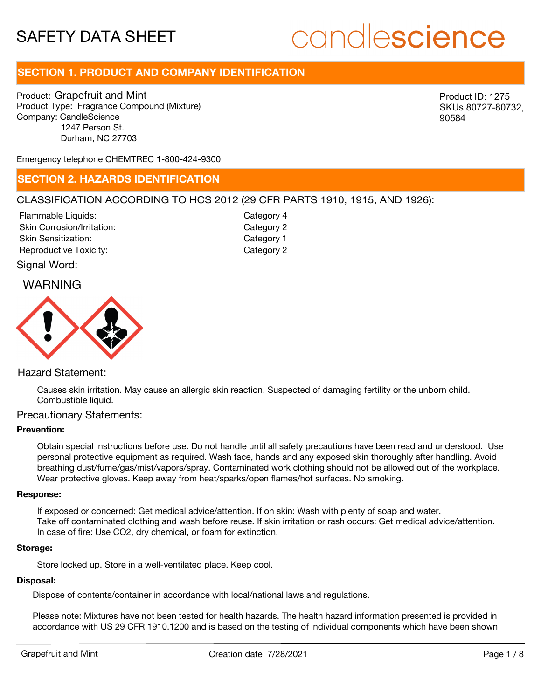# candlescience

# **SECTION 1. PRODUCT AND COMPANY IDENTIFICATION**

Product: Grapefruit and Mint Product Type: Fragrance Compound (Mixture) Company: CandleScience 1247 Person St. Durham, NC 27703

Product ID: 1275 SKUs 80727-80732, 90584

Emergency telephone CHEMTREC 1-800-424-9300

### **SECTION 2. HAZARDS IDENTIFICATION**

#### CLASSIFICATION ACCORDING TO HCS 2012 (29 CFR PARTS 1910, 1915, AND 1926):

Skin Corrosion/Irritation: Skin Sensitization: Reproductive Toxicity: Category 2 Flammable Liquids:

Category 2 Category 1 Category 4

Signal Word:

## WARNING



#### Hazard Statement:

Causes skin irritation. May cause an allergic skin reaction. Suspected of damaging fertility or the unborn child. Combustible liquid.

### Precautionary Statements:

#### **Prevention:**

Obtain special instructions before use. Do not handle until all safety precautions have been read and understood. Use personal protective equipment as required. Wash face, hands and any exposed skin thoroughly after handling. Avoid breathing dust/fume/gas/mist/vapors/spray. Contaminated work clothing should not be allowed out of the workplace. Wear protective gloves. Keep away from heat/sparks/open flames/hot surfaces. No smoking.

#### **Response:**

If exposed or concerned: Get medical advice/attention. If on skin: Wash with plenty of soap and water. Take off contaminated clothing and wash before reuse. If skin irritation or rash occurs: Get medical advice/attention. In case of fire: Use CO2, dry chemical, or foam for extinction.

#### **Storage:**

Store locked up. Store in a well-ventilated place. Keep cool.

#### **Disposal:**

Dispose of contents/container in accordance with local/national laws and regulations.

Please note: Mixtures have not been tested for health hazards. The health hazard information presented is provided in accordance with US 29 CFR 1910.1200 and is based on the testing of individual components which have been shown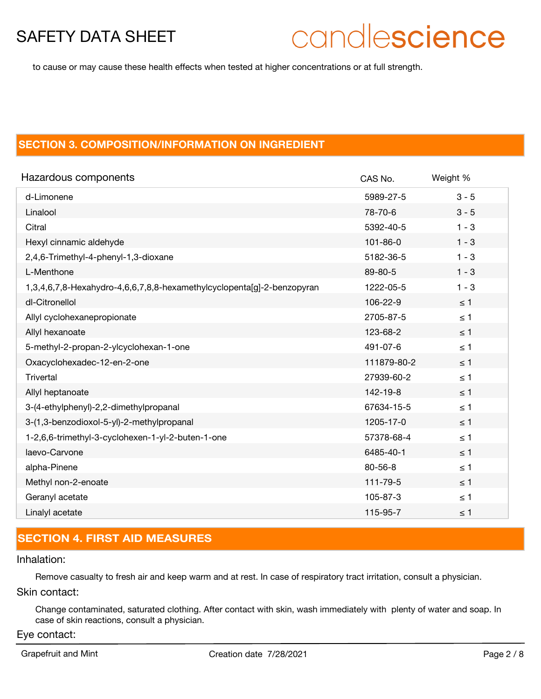# candlescience

to cause or may cause these health effects when tested at higher concentrations or at full strength.

## **SECTION 3. COMPOSITION/INFORMATION ON INGREDIENT**

| Hazardous components                                                   | CAS No.        | Weight % |
|------------------------------------------------------------------------|----------------|----------|
| d-Limonene                                                             | 5989-27-5      | $3 - 5$  |
| Linalool                                                               | 78-70-6        | $3 - 5$  |
| Citral                                                                 | 5392-40-5      | $1 - 3$  |
| Hexyl cinnamic aldehyde                                                | $101 - 86 - 0$ | $1 - 3$  |
| 2,4,6-Trimethyl-4-phenyl-1,3-dioxane                                   | 5182-36-5      | $1 - 3$  |
| L-Menthone                                                             | 89-80-5        | $1 - 3$  |
| 1,3,4,6,7,8-Hexahydro-4,6,6,7,8,8-hexamethylcyclopenta[g]-2-benzopyran | 1222-05-5      | $1 - 3$  |
| dl-Citronellol                                                         | 106-22-9       | $\leq 1$ |
| Allyl cyclohexanepropionate                                            | 2705-87-5      | $\leq 1$ |
| Allyl hexanoate                                                        | 123-68-2       | $\leq 1$ |
| 5-methyl-2-propan-2-ylcyclohexan-1-one                                 | 491-07-6       | $\leq 1$ |
| Oxacyclohexadec-12-en-2-one                                            | 111879-80-2    | $\leq$ 1 |
| Trivertal                                                              | 27939-60-2     | $\leq 1$ |
| Allyl heptanoate                                                       | 142-19-8       | $\leq 1$ |
| 3-(4-ethylphenyl)-2,2-dimethylpropanal                                 | 67634-15-5     | $\leq 1$ |
| 3-(1,3-benzodioxol-5-yl)-2-methylpropanal                              | 1205-17-0      | $\leq$ 1 |
| 1-2,6,6-trimethyl-3-cyclohexen-1-yl-2-buten-1-one                      | 57378-68-4     | $\leq 1$ |
| laevo-Carvone                                                          | 6485-40-1      | $\leq 1$ |
| alpha-Pinene                                                           | $80 - 56 - 8$  | $\leq 1$ |
| Methyl non-2-enoate                                                    | 111-79-5       | $\leq$ 1 |
| Geranyl acetate                                                        | 105-87-3       | $\leq 1$ |
| Linalyl acetate                                                        | 115-95-7       | $\leq$ 1 |

# **SECTION 4. FIRST AID MEASURES**

#### Inhalation:

Remove casualty to fresh air and keep warm and at rest. In case of respiratory tract irritation, consult a physician.

#### Skin contact:

Change contaminated, saturated clothing. After contact with skin, wash immediately with plenty of water and soap. In case of skin reactions, consult a physician.

#### Eye contact: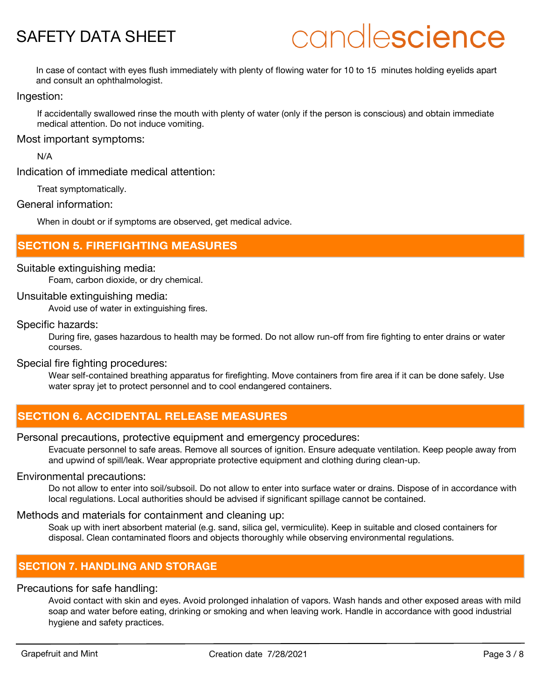# candlescience

In case of contact with eyes flush immediately with plenty of flowing water for 10 to 15 minutes holding eyelids apart and consult an ophthalmologist.

#### Ingestion:

If accidentally swallowed rinse the mouth with plenty of water (only if the person is conscious) and obtain immediate medical attention. Do not induce vomiting.

#### Most important symptoms:

N/A

Indication of immediate medical attention:

Treat symptomatically.

#### General information:

When in doubt or if symptoms are observed, get medical advice.

### **SECTION 5. FIREFIGHTING MEASURES**

#### Suitable extinguishing media:

Foam, carbon dioxide, or dry chemical.

#### Unsuitable extinguishing media:

Avoid use of water in extinguishing fires.

#### Specific hazards:

During fire, gases hazardous to health may be formed. Do not allow run-off from fire fighting to enter drains or water courses.

#### Special fire fighting procedures:

Wear self-contained breathing apparatus for firefighting. Move containers from fire area if it can be done safely. Use water spray jet to protect personnel and to cool endangered containers.

## **SECTION 6. ACCIDENTAL RELEASE MEASURES**

#### Personal precautions, protective equipment and emergency procedures:

Evacuate personnel to safe areas. Remove all sources of ignition. Ensure adequate ventilation. Keep people away from and upwind of spill/leak. Wear appropriate protective equipment and clothing during clean-up.

#### Environmental precautions:

Do not allow to enter into soil/subsoil. Do not allow to enter into surface water or drains. Dispose of in accordance with local regulations. Local authorities should be advised if significant spillage cannot be contained.

#### Methods and materials for containment and cleaning up:

Soak up with inert absorbent material (e.g. sand, silica gel, vermiculite). Keep in suitable and closed containers for disposal. Clean contaminated floors and objects thoroughly while observing environmental regulations.

## **SECTION 7. HANDLING AND STORAGE**

#### Precautions for safe handling:

Avoid contact with skin and eyes. Avoid prolonged inhalation of vapors. Wash hands and other exposed areas with mild soap and water before eating, drinking or smoking and when leaving work. Handle in accordance with good industrial hygiene and safety practices.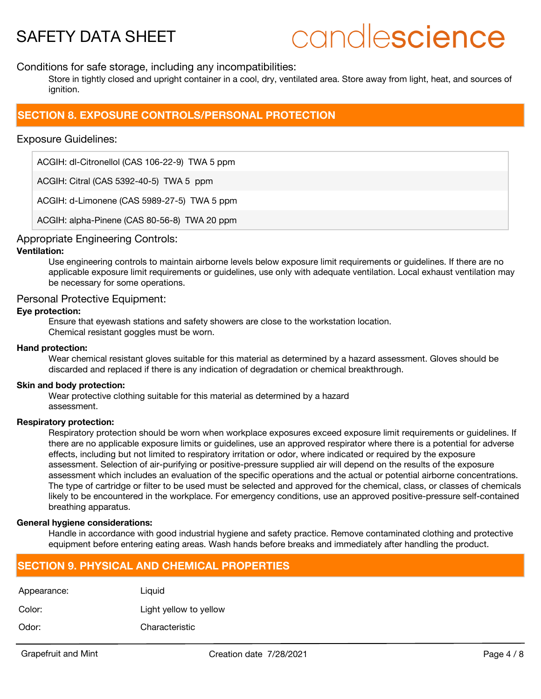# candlescience

#### Conditions for safe storage, including any incompatibilities:

Store in tightly closed and upright container in a cool, dry, ventilated area. Store away from light, heat, and sources of ianition.

## **SECTION 8. EXPOSURE CONTROLS/PERSONAL PROTECTION**

#### Exposure Guidelines:

ACGIH: dl-Citronellol (CAS 106-22-9) TWA 5 ppm

ACGIH: Citral (CAS 5392-40-5) TWA 5 ppm

ACGIH: d-Limonene (CAS 5989-27-5) TWA 5 ppm

ACGIH: alpha-Pinene (CAS 80-56-8) TWA 20 ppm

#### Appropriate Engineering Controls:

#### **Ventilation:**

Use engineering controls to maintain airborne levels below exposure limit requirements or guidelines. If there are no applicable exposure limit requirements or guidelines, use only with adequate ventilation. Local exhaust ventilation may be necessary for some operations.

#### Personal Protective Equipment:

#### **Eye protection:**

Ensure that eyewash stations and safety showers are close to the workstation location. Chemical resistant goggles must be worn.

#### **Hand protection:**

Wear chemical resistant gloves suitable for this material as determined by a hazard assessment. Gloves should be discarded and replaced if there is any indication of degradation or chemical breakthrough.

#### **Skin and body protection:**

Wear protective clothing suitable for this material as determined by a hazard assessment.

#### **Respiratory protection:**

Respiratory protection should be worn when workplace exposures exceed exposure limit requirements or guidelines. If there are no applicable exposure limits or guidelines, use an approved respirator where there is a potential for adverse effects, including but not limited to respiratory irritation or odor, where indicated or required by the exposure assessment. Selection of air-purifying or positive-pressure supplied air will depend on the results of the exposure assessment which includes an evaluation of the specific operations and the actual or potential airborne concentrations. The type of cartridge or filter to be used must be selected and approved for the chemical, class, or classes of chemicals likely to be encountered in the workplace. For emergency conditions, use an approved positive-pressure self-contained breathing apparatus.

#### **General hygiene considerations:**

Handle in accordance with good industrial hygiene and safety practice. Remove contaminated clothing and protective equipment before entering eating areas. Wash hands before breaks and immediately after handling the product.

### **SECTION 9. PHYSICAL AND CHEMICAL PROPERTIES**

| Appearance: | Liguid                 |
|-------------|------------------------|
| Color:      | Light yellow to yellow |
| Odor:       | Characteristic         |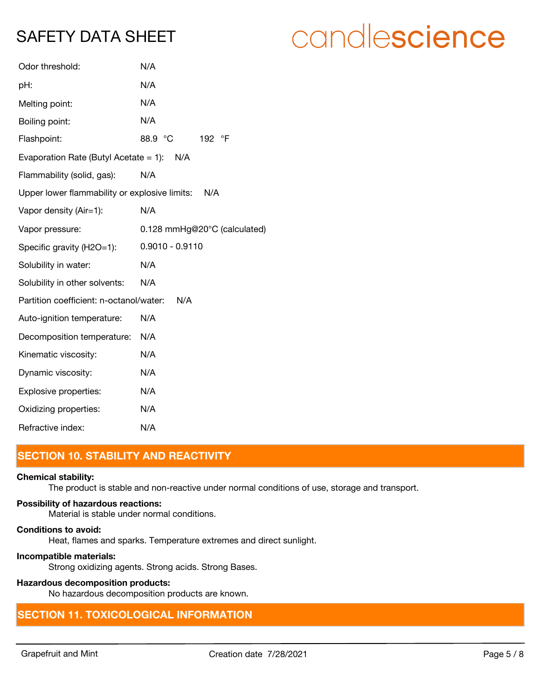| Odor threshold:                               | N/A                          |
|-----------------------------------------------|------------------------------|
| pH:                                           | N/A                          |
| Melting point:                                | N/A                          |
| Boiling point:                                | N/A                          |
| Flashpoint:                                   | 88.9 °C<br>192 °F            |
| Evaporation Rate (Butyl Acetate = 1): $N/A$   |                              |
| Flammability (solid, gas):                    | N/A                          |
| Upper lower flammability or explosive limits: | N/A                          |
| Vapor density (Air=1):                        | N/A                          |
| Vapor pressure:                               | 0.128 mmHg@20°C (calculated) |
| Specific gravity (H2O=1):                     | $0.9010 - 0.9110$            |
| Solubility in water:                          | N/A                          |
| Solubility in other solvents:                 | N/A                          |
| Partition coefficient: n-octanol/water:       | N/A                          |
| Auto-ignition temperature:                    | N/A                          |
| Decomposition temperature:                    | N/A                          |
| Kinematic viscosity:                          | N/A                          |
| Dynamic viscosity:                            | N/A                          |
| Explosive properties:                         | N/A                          |
| Oxidizing properties:                         | N/A                          |
| Refractive index:                             | N/A                          |
|                                               |                              |

# **SECTION 10. STABILITY AND REACTIVITY**

#### **Chemical stability:**

The product is stable and non-reactive under normal conditions of use, storage and transport.

#### **Possibility of hazardous reactions:**

Material is stable under normal conditions.

#### **Conditions to avoid:**

Heat, flames and sparks. Temperature extremes and direct sunlight.

#### **Incompatible materials:**

Strong oxidizing agents. Strong acids. Strong Bases.

## **Hazardous decomposition products:**

No hazardous decomposition products are known.

# **SECTION 11. TOXICOLOGICAL INFORMATION**

# candlescience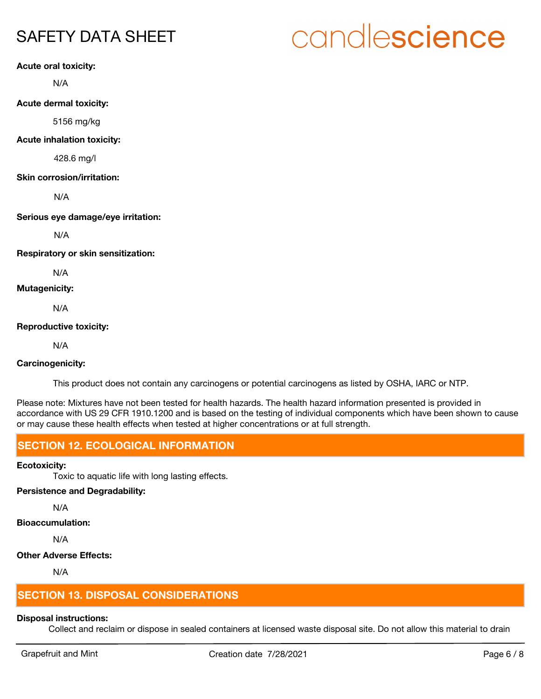# candlescience

**Acute oral toxicity:**

N/A

**Acute dermal toxicity:**

5156 mg/kg

**Acute inhalation toxicity:**

428.6 mg/l

#### **Skin corrosion/irritation:**

N/A

**Serious eye damage/eye irritation:**

N/A

**Respiratory or skin sensitization:**

N/A

#### **Mutagenicity:**

N/A

#### **Reproductive toxicity:**

N/A

#### **Carcinogenicity:**

This product does not contain any carcinogens or potential carcinogens as listed by OSHA, IARC or NTP.

Please note: Mixtures have not been tested for health hazards. The health hazard information presented is provided in accordance with US 29 CFR 1910.1200 and is based on the testing of individual components which have been shown to cause or may cause these health effects when tested at higher concentrations or at full strength.

## **SECTION 12. ECOLOGICAL INFORMATION**

#### **Ecotoxicity:**

Toxic to aquatic life with long lasting effects.

#### **Persistence and Degradability:**

N/A

### **Bioaccumulation:**

N/A

### **Other Adverse Effects:**

N/A

# **SECTION 13. DISPOSAL CONSIDERATIONS**

### **Disposal instructions:**

Collect and reclaim or dispose in sealed containers at licensed waste disposal site. Do not allow this material to drain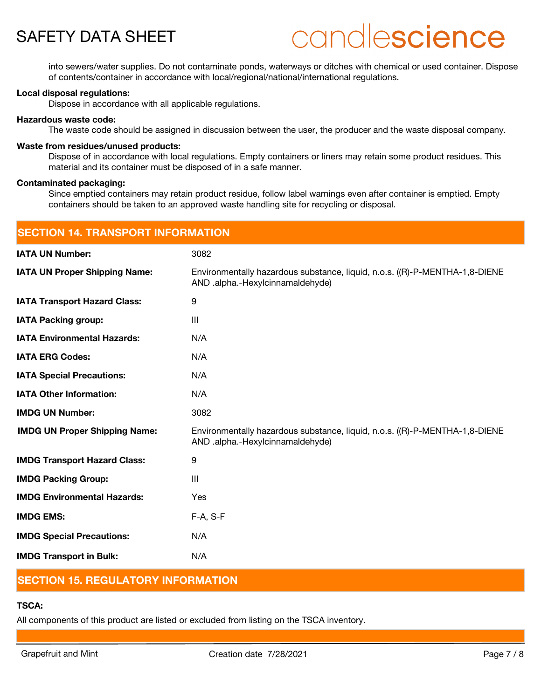# candlescience

into sewers/water supplies. Do not contaminate ponds, waterways or ditches with chemical or used container. Dispose of contents/container in accordance with local/regional/national/international regulations.

#### **Local disposal regulations:**

Dispose in accordance with all applicable regulations.

#### **Hazardous waste code:**

The waste code should be assigned in discussion between the user, the producer and the waste disposal company.

#### **Waste from residues/unused products:**

Dispose of in accordance with local regulations. Empty containers or liners may retain some product residues. This material and its container must be disposed of in a safe manner.

#### **Contaminated packaging:**

Since emptied containers may retain product residue, follow label warnings even after container is emptied. Empty containers should be taken to an approved waste handling site for recycling or disposal.

| <b>SECTION 14. TRANSPORT INFORMATION</b> |                                                                                                                 |  |
|------------------------------------------|-----------------------------------------------------------------------------------------------------------------|--|
| <b>IATA UN Number:</b>                   | 3082                                                                                                            |  |
| <b>IATA UN Proper Shipping Name:</b>     | Environmentally hazardous substance, liquid, n.o.s. ((R)-P-MENTHA-1,8-DIENE<br>AND .alpha.-Hexylcinnamaldehyde) |  |
| <b>IATA Transport Hazard Class:</b>      | 9                                                                                                               |  |
| <b>IATA Packing group:</b>               | III                                                                                                             |  |
| <b>IATA Environmental Hazards:</b>       | N/A                                                                                                             |  |
| <b>IATA ERG Codes:</b>                   | N/A                                                                                                             |  |
| <b>IATA Special Precautions:</b>         | N/A                                                                                                             |  |
| <b>IATA Other Information:</b>           | N/A                                                                                                             |  |
| <b>IMDG UN Number:</b>                   | 3082                                                                                                            |  |
| <b>IMDG UN Proper Shipping Name:</b>     | Environmentally hazardous substance, liquid, n.o.s. ((R)-P-MENTHA-1,8-DIENE<br>AND .alpha.-Hexylcinnamaldehyde) |  |
| <b>IMDG Transport Hazard Class:</b>      | 9                                                                                                               |  |
| <b>IMDG Packing Group:</b>               | III                                                                                                             |  |
| <b>IMDG Environmental Hazards:</b>       | Yes                                                                                                             |  |
| <b>IMDG EMS:</b>                         | F-A, S-F                                                                                                        |  |
| <b>IMDG Special Precautions:</b>         | N/A                                                                                                             |  |
| <b>IMDG Transport in Bulk:</b>           | N/A                                                                                                             |  |

## **SECTION 15. REGULATORY INFORMATION**

### **TSCA:**

All components of this product are listed or excluded from listing on the TSCA inventory.